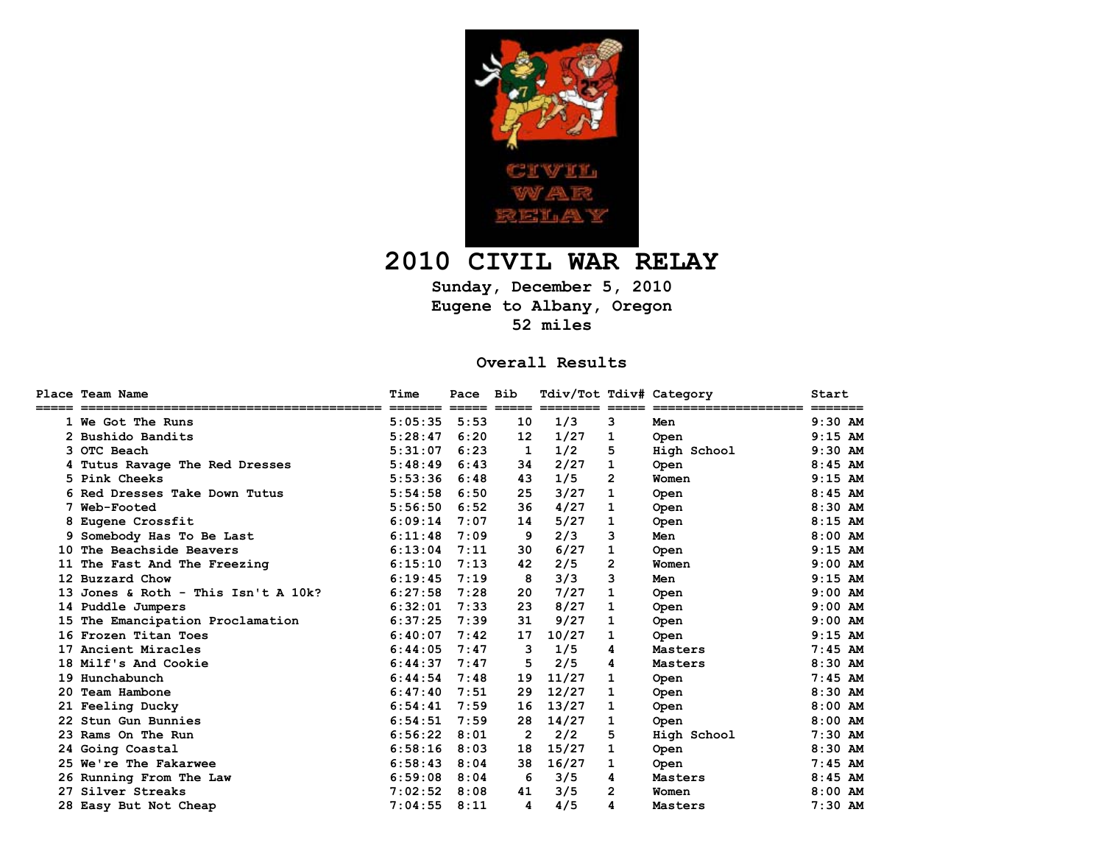

## **2010 CIVIL WAR RELAY**

**Sunday, December 5, 2010 Eugene to Albany, Oregon 52 miles** 

## **Overall Results**

|     | Place Team Name                  | Time                     | Pace | Bib |       |   | Tdiv/Tot Tdiv# Category | Start                |
|-----|----------------------------------|--------------------------|------|-----|-------|---|-------------------------|----------------------|
|     | 1 We Got The Runs                | ======= =====<br>5:05:35 | 5:53 | 10  | 1/3   | 3 | Men                     | =======<br>$9:30$ AM |
|     | 2 Bushido Bandits                | 5:28:47                  | 6:20 | 12  | 1/27  | 1 | <b>Open</b>             | $9:15$ AM            |
|     | <b>3 OTC Beach</b>               | 5:31:07                  | 6:23 | 1   | 1/2   | 5 | High School             | $9:30$ AM            |
|     | 4 Tutus Ravage The Red Dresses   | 5:48:49                  | 6:43 | 34  | 2/27  | 1 | Open                    | $8:45$ AM            |
|     | 5 Pink Cheeks                    | 5:53:36                  | 6:48 | 43  | 1/5   | 2 | Women                   | $9:15$ AM            |
|     | 6 Red Dresses Take Down Tutus    | 5:54:58                  | 6:50 | 25  | 3/27  | 1 | Open                    | $8:45$ AM            |
|     | Web-Footed                       | 5:56:50                  | 6:52 | 36  | 4/27  | 1 | <b>Open</b>             | $8:30$ AM            |
|     | 8 Eugene Crossfit                | 6:09:14                  | 7:07 | 14  | 5/27  | 1 | <b>Open</b>             | $8:15$ AM            |
|     | Somebody Has To Be Last          | 6:11:48                  | 7:09 | 9   | 2/3   | 3 | Men                     | $8:00$ AM            |
| 10  | The Beachside Beavers            | 6:13:04                  | 7:11 | 30  | 6/27  | 1 | Open                    | $9:15$ AM            |
| 11  | The Fast And The Freezing        | 6:15:10                  | 7:13 | 42  | 2/5   | 2 | Women                   | $9:00$ AM            |
|     | 12 Buzzard Chow                  | 6:19:45                  | 7:19 | 8   | 3/3   | 3 | Men                     | $9:15$ AM            |
|     | Jones & Roth - This Isn't A 10k? | 6:27:58                  | 7:28 | 20  | 7/27  | 1 | Open                    | $9:00$ AM            |
|     | 14 Puddle Jumpers                | 6:32:01                  | 7:33 | 23  | 8/27  | 1 | Open                    | $9:00$ AM            |
| 15  | The Emancipation Proclamation    | 6:37:25                  | 7:39 | 31  | 9/27  | 1 | <b>Open</b>             | $9:00$ AM            |
|     | 16 Frozen Titan Toes             | 6:40:07                  | 7:42 | 17  | 10/27 | 1 | <b>Open</b>             | $9:15$ AM            |
|     | 17 Ancient Miracles              | 6:44:05                  | 7:47 | з   | 1/5   | 4 | Masters                 | $7:45$ AM            |
|     | 18 Milf's And Cookie             | 6:44:37                  | 7:47 | 5   | 2/5   | 4 | Masters                 | $8:30$ AM            |
|     | 19 Hunchabunch                   | 6:44:54                  | 7:48 | 19  | 11/27 | 1 | Open                    | $7:45$ AM            |
| 20. | Team Hambone                     | 6:47:40                  | 7:51 | 29  | 12/27 | 1 | Open                    | $8:30$ AM            |
|     | 21 Feeling Ducky                 | 6:54:41                  | 7:59 | 16  | 13/27 | 1 | Open                    | $8:00$ AM            |
|     | 22 Stun Gun Bunnies              | 6:54:51                  | 7:59 | 28  | 14/27 | 1 | Open                    | $8:00$ AM            |
|     | 23 Rams On The Run               | 6:56:22                  | 8:01 | 2   | 2/2   | 5 | High School             | $7:30$ AM            |
|     | 24 Going Coastal                 | 6:58:16                  | 8:03 | 18  | 15/27 | 1 | Open                    | $8:30$ AM            |
|     | 25 We're The Fakarwee            | 6:58:43                  | 8:04 | 38  | 16/27 | 1 | <b>Open</b>             | $7:45$ AM            |
|     | 26 Running From The Law          | 6:59:08                  | 8:04 | 6   | 3/5   | 4 | Masters                 | $8:45$ AM            |
|     | 27 Silver Streaks                | 7:02:52                  | 8:08 | 41  | 3/5   | 2 | Women                   | $8:00$ AM            |
|     | 28 Easy But Not Cheap            | 7:04:55                  | 8:11 | 4   | 4/5   | 4 | Masters                 | $7:30$ AM            |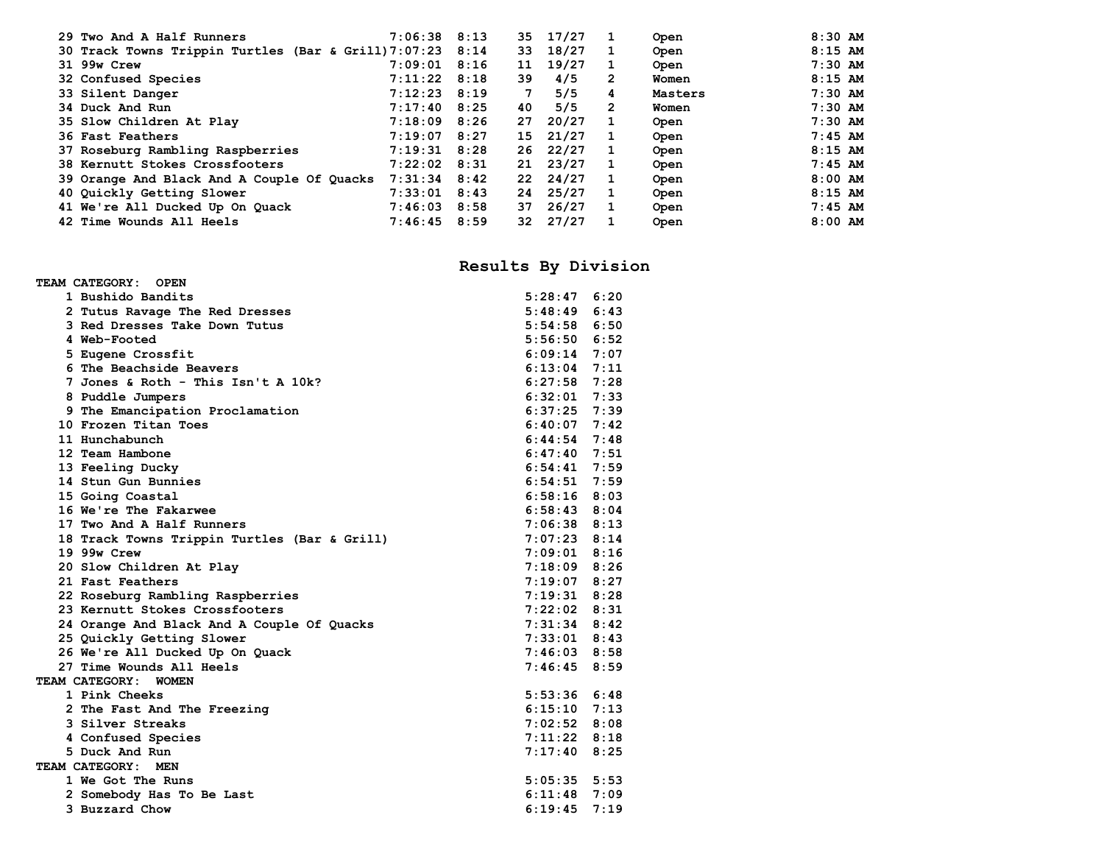| 29 Two And A Half Runners                                 | $7:06:38$ $8:13$ |      | 35 | 17/27 |   | Open    | $8:30$ AM |
|-----------------------------------------------------------|------------------|------|----|-------|---|---------|-----------|
| 30 Track Towns Trippin Turtles (Bar & Grill) 7:07:23 8:14 |                  |      | 33 | 18/27 |   | Open    | $8:15$ AM |
| 31 99w Crew                                               | 7:09:01          | 8:16 | 11 | 19/27 |   | Open    | $7:30$ AM |
| 32 Confused Species                                       | $7:11:22$ 8:18   |      | 39 | 4/5   | 2 | Women   | $8:15$ AM |
| 33 Silent Danger                                          | $7:12:23$ 8:19   |      | 7  | 5/5   | 4 | Masters | $7:30$ AM |
| 34 Duck And Run                                           | $7:17:40$ 8:25   |      | 40 | 5/5   | 2 | Women   | $7:30$ AM |
| 35 Slow Children At Play                                  | $7:18:09$ 8:26   |      | 27 | 20/27 |   | Open    | $7:30$ AM |
| 36 Fast Feathers                                          | 7:19:07          | 8:27 | 15 | 21/27 |   | Open    | $7:45$ AM |
| 37 Roseburg Rambling Raspberries                          | $7:19:31$ 8:28   |      | 26 | 22/27 |   | Open    | $8:15$ AM |
| 38 Kernutt Stokes Crossfooters                            | $7:22:02$ 8:31   |      | 21 | 23/27 |   | Open    | $7:45$ AM |
| 39 Orange And Black And A Couple Of Quacks                | $7:31:34$ 8:42   |      | 22 | 24/27 | 1 | Open    | $8:00$ AM |
| 40 Quickly Getting Slower                                 | $7:33:01$ 8:43   |      | 24 | 25/27 |   | Open    | $8:15$ AM |
| 41 We're All Ducked Up On Quack                           | $7:46:03$ 8:58   |      | 37 | 26/27 |   | Open    | $7:45$ AM |
| 42 Time Wounds All Heels                                  | 7:46:45          | 8:59 | 32 | 27/27 |   | Open    | $8:00$ AM |
|                                                           |                  |      |    |       |   |         |           |

## **Results By Division**

| TEAM CATEGORY: OPEN                          |                  |      |  |  |  |
|----------------------------------------------|------------------|------|--|--|--|
| 1 Bushido Bandits                            | $5:28:47$ $6:20$ |      |  |  |  |
| 2 Tutus Ravage The Red Dresses               | 5:48:49          | 6:43 |  |  |  |
| 3 Red Dresses Take Down Tutus                | $5:54:58$ $6:50$ |      |  |  |  |
| 4 Web-Footed                                 | $5:56:50$ $6:52$ |      |  |  |  |
| 5 Eugene Crossfit                            | $6:09:14$ 7:07   |      |  |  |  |
| 6 The Beachside Beavers                      | $6:13:04$ 7:11   |      |  |  |  |
| 7 Jones & Roth - This Isn't A 10k?           | $6:27:58$ 7:28   |      |  |  |  |
| 8 Puddle Jumpers                             | $6:32:01$ 7:33   |      |  |  |  |
| 9 The Emancipation Proclamation              | $6:37:25$ 7:39   |      |  |  |  |
| 10 Frozen Titan Toes                         | $6:40:07$ 7:42   |      |  |  |  |
| 11 Hunchabunch                               | $6:44:54$ 7:48   |      |  |  |  |
| 12 Team Hambone                              | $6:47:40$ 7:51   |      |  |  |  |
| 13 Feeling Ducky                             | $6:54:41$ 7:59   |      |  |  |  |
| 14 Stun Gun Bunnies                          | $6:54:51$ 7:59   |      |  |  |  |
| 15 Going Coastal                             | $6:58:16$ $8:03$ |      |  |  |  |
| 16 We're The Fakarwee                        | $6:58:43$ $8:04$ |      |  |  |  |
| 17 Two And A Half Runners                    | $7:06:38$ 8:13   |      |  |  |  |
| 18 Track Towns Trippin Turtles (Bar & Grill) | $7:07:23$ 8:14   |      |  |  |  |
| 19 99w Crew                                  | $7:09:01$ 8:16   |      |  |  |  |
| 20 Slow Children At Play                     | $7:18:09$ 8:26   |      |  |  |  |
| 21 Fast Feathers                             | $7:19:07$ 8:27   |      |  |  |  |
| 22 Roseburg Rambling Raspberries             | $7:19:31$ 8:28   |      |  |  |  |
| 23 Kernutt Stokes Crossfooters               | $7:22:02$ 8:31   |      |  |  |  |
| 24 Orange And Black And A Couple Of Quacks   | $7:31:34$ 8:42   |      |  |  |  |
| 25 Quickly Getting Slower                    | $7:33:01$ 8:43   |      |  |  |  |
| 26 We're All Ducked Up On Quack              | $7:46:03$ 8:58   |      |  |  |  |
| 27 Time Wounds All Heels                     | $7:46:45$ 8:59   |      |  |  |  |
| TEAM CATEGORY: WOMEN                         |                  |      |  |  |  |
| 1 Pink Cheeks                                | $5:53:36$ $6:48$ |      |  |  |  |
| 2 The Fast And The Freezing                  | $6:15:10$ 7:13   |      |  |  |  |
| 3 Silver Streaks                             | $7:02:52$ 8:08   |      |  |  |  |
| 4 Confused Species                           | $7:11:22$ 8:18   |      |  |  |  |
| 5 Duck And Run                               | $7:17:40$ 8:25   |      |  |  |  |
| TEAM CATEGORY: MEN                           |                  |      |  |  |  |
| 1 We Got The Runs                            | $5:05:35$ $5:53$ |      |  |  |  |
| 2 Somebody Has To Be Last                    | $6:11:48$ 7:09   |      |  |  |  |
| 3 Buzzard Chow                               | 6:19:45          | 7:19 |  |  |  |